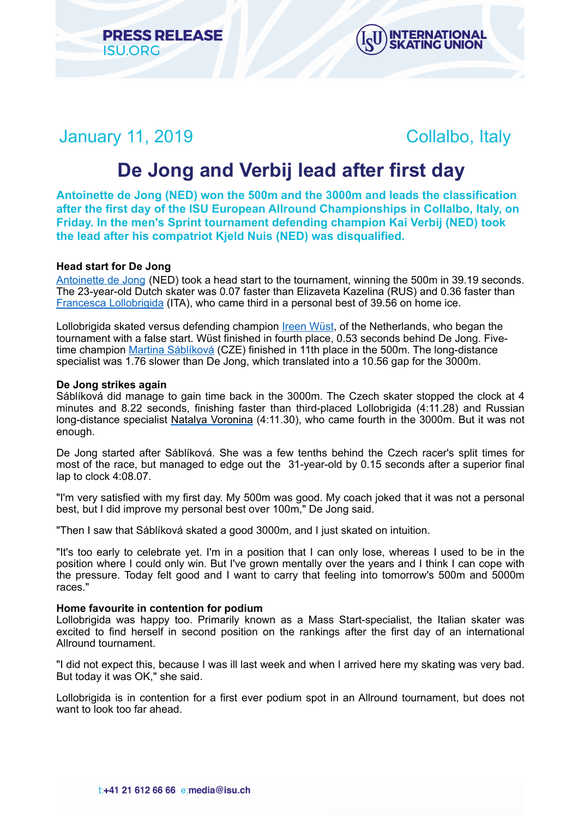



January 11, 2019 Collalbo, Italy

# **De Jong and Verbij lead after first day**

**Antoinette de Jong (NED) won the 500m and the 3000m and leads the classification after the first day of the ISU European Allround Championships in Collalbo, Italy, on Friday. In the men's Sprint tournament defending champion Kai Verbij (NED) took the lead after his compatriot Kjeld Nuis (NED) was disqualified.** 

# **Head start for De Jong**

[Antoinette de Jong](https://isu.html.infostradasports.com/asp/redirect/isu.asp?page=PERSONBIO_SS&personid=816627&sportid=103&cache=2) (NED) took a head start to the tournament, winning the 500m in 39.19 seconds. The 23-year-old Dutch skater was 0.07 faster than Elizaveta Kazelina (RUS) and 0.36 faster than [Francesca Lollobrigida](https://isu.html.infostradasports.com/asp/redirect/isu.asp?page=PERSONBIO_SS&personid=703475&sportid=103&cache=2) (ITA), who came third in a personal best of 39.56 on home ice.

Lollobrigida skated versus defending champion [Ireen Wüst](https://isu.html.infostradasports.com/asp/redirect/isu.asp?page=PERSONBIO_SS&personid=222453&sportid=103&cache=2), of the Netherlands, who began the tournament with a false start. Wüst finished in fourth place, 0.53 seconds behind De Jong. Fivetime champion [Martina Sáblíková](https://isu.html.infostradasports.com/asp/redirect/isu.asp?page=PERSONBIO_SS&personid=210868&sportid=103&cache=2) (CZE) finished in 11th place in the 500m. The long-distance specialist was 1.76 slower than De Jong, which translated into a 10.56 gap for the 3000m.

## **De Jong strikes again**

Sáblíková did manage to gain time back in the 3000m. The Czech skater stopped the clock at 4 minutes and 8.22 seconds, finishing faster than third-placed Lollobrigida (4:11.28) and Russian long-distance specialist [Natalya Voronina](https://isu.html.infostradasports.com/asp/redirect/isu.asp?page=PERSONBIO_SS&personid=1246989&sportid=103&cache=2) (4:11.30), who came fourth in the 3000m. But it was not enough.

De Jong started after Sáblíková. She was a few tenths behind the Czech racer's split times for most of the race, but managed to edge out the 31-year-old by 0.15 seconds after a superior final lap to clock 4:08.07.

"I'm very satisfied with my first day. My 500m was good. My coach joked that it was not a personal best, but I did improve my personal best over 100m," De Jong said.

"Then I saw that Sáblíková skated a good 3000m, and I just skated on intuition.

"It's too early to celebrate yet. I'm in a position that I can only lose, whereas I used to be in the position where I could only win. But I've grown mentally over the years and I think I can cope with the pressure. Today felt good and I want to carry that feeling into tomorrow's 500m and 5000m races."

## **Home favourite in contention for podium**

Lollobrigida was happy too. Primarily known as a Mass Start-specialist, the Italian skater was excited to find herself in second position on the rankings after the first day of an international Allround tournament.

"I did not expect this, because I was ill last week and when I arrived here my skating was very bad. But today it was OK," she said.

Lollobrigida is in contention for a first ever podium spot in an Allround tournament, but does not want to look too far ahead.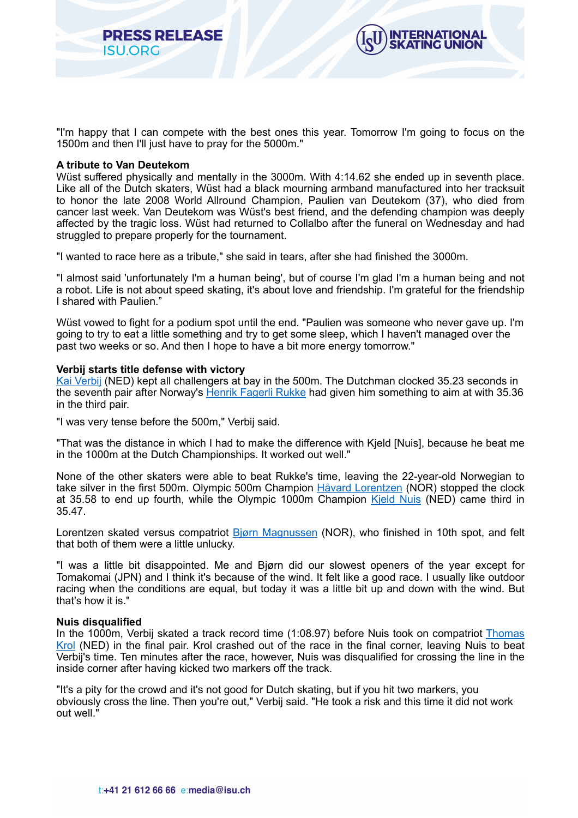



"I'm happy that I can compete with the best ones this year. Tomorrow I'm going to focus on the 1500m and then I'll just have to pray for the 5000m."

#### **A tribute to Van Deutekom**

Wüst suffered physically and mentally in the 3000m. With 4:14.62 she ended up in seventh place. Like all of the Dutch skaters, Wüst had a black mourning armband manufactured into her tracksuit to honor the late 2008 World Allround Champion, Paulien van Deutekom (37), who died from cancer last week. Van Deutekom was Wüst's best friend, and the defending champion was deeply affected by the tragic loss. Wüst had returned to Collalbo after the funeral on Wednesday and had struggled to prepare properly for the tournament.

"I wanted to race here as a tribute," she said in tears, after she had finished the 3000m.

"I almost said 'unfortunately I'm a human being', but of course I'm glad I'm a human being and not a robot. Life is not about speed skating, it's about love and friendship. I'm grateful for the friendship I shared with Paulien."

Wüst vowed to fight for a podium spot until the end. "Paulien was someone who never gave up. I'm going to try to eat a little something and try to get some sleep, which I haven't managed over the past two weeks or so. And then I hope to have a bit more energy tomorrow."

## **Verbij starts title defense with victory**

[Kai Verbij](https://isu.html.infostradasports.com/asp/redirect/isu.asp?page=PERSONBIO_SS&personid=816572&sportid=103&cache=2) (NED) kept all challengers at bay in the 500m. The Dutchman clocked 35.23 seconds in the seventh pair after Norway's [Henrik Fagerli Rukke](https://isu.html.infostradasports.com/asp/redirect/isu.asp?page=PERSONBIO_SS&personid=1023286&sportid=103&cache=2) had given him something to aim at with 35.36 in the third pair.

"I was very tense before the 500m," Verbij said.

"That was the distance in which I had to make the difference with Kjeld [Nuis], because he beat me in the 1000m at the Dutch Championships. It worked out well."

None of the other skaters were able to beat Rukke's time, leaving the 22-year-old Norwegian to take silver in the first 500m. Olympic 500m Champion [Håvard Lorentzen](https://isu.html.infostradasports.com/asp/redirect/isu.asp?page=PERSONBIO_SS&personid=751032&sportid=103&cache=2) (NOR) stopped the clock at 35.58 to end up fourth, while the Olympic 1000m Champion Kield Nuis (NED) came third in 35.47.

Lorentzen skated versus compatriot [Bjørn Magnussen](https://isu.html.infostradasports.com/asp/redirect/isu.asp?page=PERSONBIO_SS&personid=1362313&sportid=103&cache=2) (NOR), who finished in 10th spot, and felt that both of them were a little unlucky.

"I was a little bit disappointed. Me and Bjørn did our slowest openers of the year except for Tomakomai (JPN) and I think it's because of the wind. It felt like a good race. I usually like outdoor racing when the conditions are equal, but today it was a little bit up and down with the wind. But that's how it is."

#### **Nuis disqualified**

In the 1000m, Verbij skated a track record time (1:08.97) before Nuis took on compatriot [Thomas](https://isu.html.infostradasports.com/asp/redirect/isu.asp?page=PERSONBIO_SS&personid=749959&sportid=103&cache=2) [Krol](https://isu.html.infostradasports.com/asp/redirect/isu.asp?page=PERSONBIO_SS&personid=749959&sportid=103&cache=2) (NED) in the final pair. Krol crashed out of the race in the final corner, leaving Nuis to beat Verbij's time. Ten minutes after the race, however, Nuis was disqualified for crossing the line in the inside corner after having kicked two markers off the track.

"It's a pity for the crowd and it's not good for Dutch skating, but if you hit two markers, you obviously cross the line. Then you're out," Verbij said. "He took a risk and this time it did not work out well."